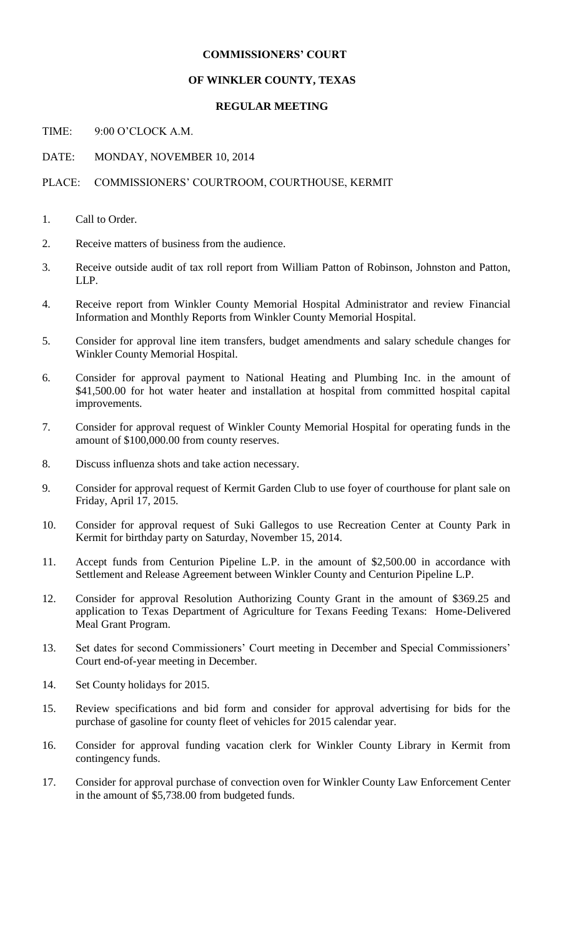## **COMMISSIONERS' COURT**

## **OF WINKLER COUNTY, TEXAS**

## **REGULAR MEETING**

TIME: 9:00 O'CLOCK A.M.

DATE: MONDAY, NOVEMBER 10, 2014

## PLACE: COMMISSIONERS' COURTROOM, COURTHOUSE, KERMIT

- 1. Call to Order.
- 2. Receive matters of business from the audience.
- 3. Receive outside audit of tax roll report from William Patton of Robinson, Johnston and Patton, LLP.
- 4. Receive report from Winkler County Memorial Hospital Administrator and review Financial Information and Monthly Reports from Winkler County Memorial Hospital.
- 5. Consider for approval line item transfers, budget amendments and salary schedule changes for Winkler County Memorial Hospital.
- 6. Consider for approval payment to National Heating and Plumbing Inc. in the amount of \$41,500.00 for hot water heater and installation at hospital from committed hospital capital improvements.
- 7. Consider for approval request of Winkler County Memorial Hospital for operating funds in the amount of \$100,000.00 from county reserves.
- 8. Discuss influenza shots and take action necessary.
- 9. Consider for approval request of Kermit Garden Club to use foyer of courthouse for plant sale on Friday, April 17, 2015.
- 10. Consider for approval request of Suki Gallegos to use Recreation Center at County Park in Kermit for birthday party on Saturday, November 15, 2014.
- 11. Accept funds from Centurion Pipeline L.P. in the amount of \$2,500.00 in accordance with Settlement and Release Agreement between Winkler County and Centurion Pipeline L.P.
- 12. Consider for approval Resolution Authorizing County Grant in the amount of \$369.25 and application to Texas Department of Agriculture for Texans Feeding Texans: Home-Delivered Meal Grant Program.
- 13. Set dates for second Commissioners' Court meeting in December and Special Commissioners' Court end-of-year meeting in December.
- 14. Set County holidays for 2015.
- 15. Review specifications and bid form and consider for approval advertising for bids for the purchase of gasoline for county fleet of vehicles for 2015 calendar year.
- 16. Consider for approval funding vacation clerk for Winkler County Library in Kermit from contingency funds.
- 17. Consider for approval purchase of convection oven for Winkler County Law Enforcement Center in the amount of \$5,738.00 from budgeted funds.